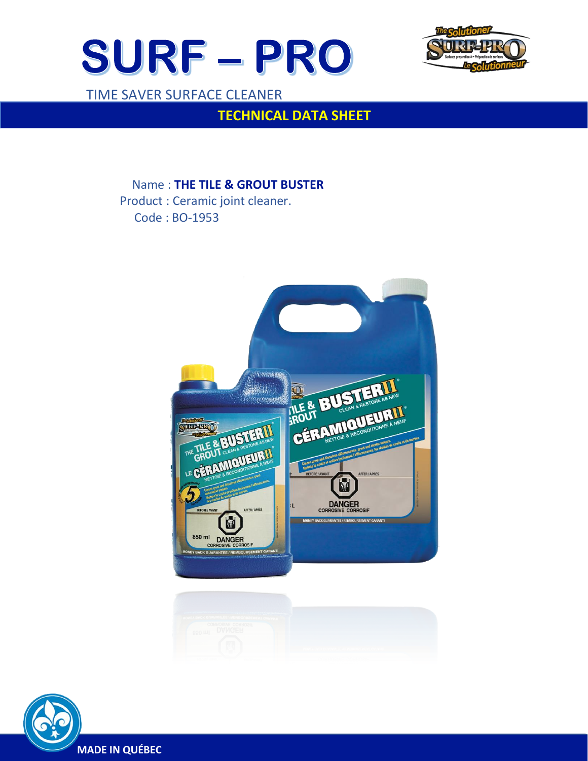



TIME SAVER SURFACE CLEANER

 $\overline{a}$ 

# **TECHNICAL DATA SHEET**

Name : **THE TILE & GROUT BUSTER**

 Product : Ceramic joint cleaner. Code : BO-1953





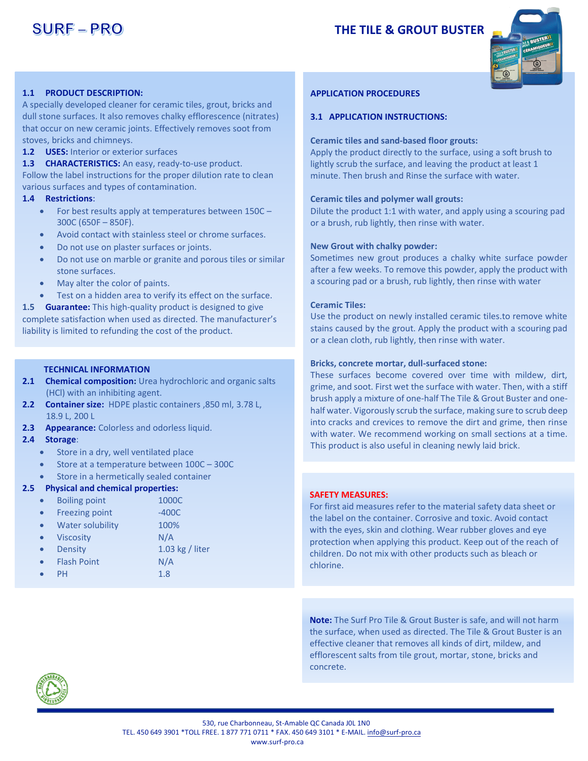## **THE TILE & GROUT BUSTER**



### **1.1 PRODUCT DESCRIPTION:**

A specially developed cleaner for ceramic tiles, grout, bricks and dull stone surfaces. It also removes chalky efflorescence (nitrates) that occur on new ceramic joints. Effectively removes soot from stoves, bricks and chimneys.

**1.2 USES:** Interior or exterior surfaces

**1.3 CHARACTERISTICS:** An easy, ready-to-use product. Follow the label instructions for the proper dilution rate to clean various surfaces and types of contamination.

#### **1.4 Restrictions**:

- For best results apply at temperatures between 150C 300C (650F – 850F).
- Avoid contact with stainless steel or chrome surfaces.
- Do not use on plaster surfaces or joints.
- Do not use on marble or granite and porous tiles or similar stone surfaces.
- May alter the color of paints.
- Test on a hidden area to verify its effect on the surface.

**1.5 Guarantee:** This high-quality product is designed to give complete satisfaction when used as directed. The manufacturer's liability is limited to refunding the cost of the product.

### **TECHNICAL INFORMATION**

- **2.1 Chemical composition:** Urea hydrochloric and organic salts (HCl) with an inhibiting agent.
- **2.2 Container size:** HDPE plastic containers ,850 ml, 3.78 L, 18.9 L, 200 L
- **2.3 Appearance:** Colorless and odorless liquid.

#### **2.4 Storage**:

- Store in a dry, well ventilated place
- Store at a temperature between 100C 300C
- Store in a hermetically sealed container

#### **2.5 Physical and chemical properties:**

- Boiling point 1000C
- Freezing point -400C
- Water solubility 100%
- Viscosity N/A
- **Density** 1.03 kg / liter
- Flash Point N/A
- PH 1.8

#### **APPLICATION PROCEDURES**

#### **3.1 APPLICATION INSTRUCTIONS:**

#### **Ceramic tiles and sand-based floor grouts:**

Apply the product directly to the surface, using a soft brush to lightly scrub the surface, and leaving the product at least 1 minute. Then brush and Rinse the surface with water.

#### **Ceramic tiles and polymer wall grouts:**

Dilute the product 1:1 with water, and apply using a scouring pad or a brush, rub lightly, then rinse with water.

#### **New Grout with chalky powder:**

Sometimes new grout produces a chalky white surface powder after a few weeks. To remove this powder, apply the product with a scouring pad or a brush, rub lightly, then rinse with water

#### **Ceramic Tiles:**

Use the product on newly installed ceramic tiles.to remove white stains caused by the grout. Apply the product with a scouring pad or a clean cloth, rub lightly, then rinse with water.

#### **Bricks, concrete mortar, dull-surfaced stone:**

These surfaces become covered over time with mildew, dirt, grime, and soot. First wet the surface with water. Then, with a stiff brush apply a mixture of one-half The Tile & Grout Buster and onehalf water. Vigorously scrub the surface, making sure to scrub deep into cracks and crevices to remove the dirt and grime, then rinse with water. We recommend working on small sections at a time. This product is also useful in cleaning newly laid brick.

#### **SAFETY MEASURES:**

For first aid measures refer to the material safety data sheet or the label on the container. Corrosive and toxic. Avoid contact with the eyes, skin and clothing. Wear rubber gloves and eye protection when applying this product. Keep out of the reach of children. Do not mix with other products such as bleach or chlorine.

**Note:** The Surf Pro Tile & Grout Buster is safe, and will not harm the surface, when used as directed. The Tile & Grout Buster is an effective cleaner that removes all kinds of dirt, mildew, and efflorescent salts from tile grout, mortar, stone, bricks and concrete.